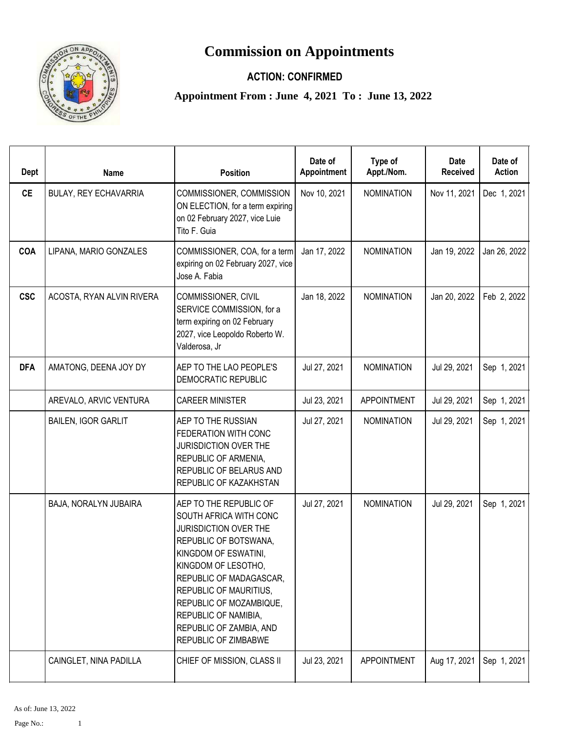## **Commission on Appointments**



## **ACTION: CONFIRMED**

**Appointment From : June 4, 2021 To : June 13, 2022**

| Dept       | <b>Name</b>                | <b>Position</b>                                                                                                                                                                                                                                                                                              | Date of<br>Appointment | Type of<br>Appt./Nom. | Date<br><b>Received</b> | Date of<br><b>Action</b> |
|------------|----------------------------|--------------------------------------------------------------------------------------------------------------------------------------------------------------------------------------------------------------------------------------------------------------------------------------------------------------|------------------------|-----------------------|-------------------------|--------------------------|
| <b>CE</b>  | BULAY, REY ECHAVARRIA      | COMMISSIONER, COMMISSION<br>ON ELECTION, for a term expiring<br>on 02 February 2027, vice Luie<br>Tito F. Guia                                                                                                                                                                                               | Nov 10, 2021           | <b>NOMINATION</b>     | Nov 11, 2021            | Dec 1, 2021              |
| COA        | LIPANA, MARIO GONZALES     | COMMISSIONER, COA, for a term<br>expiring on 02 February 2027, vice<br>Jose A. Fabia                                                                                                                                                                                                                         | Jan 17, 2022           | <b>NOMINATION</b>     | Jan 19, 2022            | Jan 26, 2022             |
| <b>CSC</b> | ACOSTA, RYAN ALVIN RIVERA  | COMMISSIONER, CIVIL<br>SERVICE COMMISSION, for a<br>term expiring on 02 February<br>2027, vice Leopoldo Roberto W.<br>Valderosa, Jr                                                                                                                                                                          | Jan 18, 2022           | <b>NOMINATION</b>     | Jan 20, 2022            | Feb 2, 2022              |
| <b>DFA</b> | AMATONG, DEENA JOY DY      | AEP TO THE LAO PEOPLE'S<br>DEMOCRATIC REPUBLIC                                                                                                                                                                                                                                                               | Jul 27, 2021           | <b>NOMINATION</b>     | Jul 29, 2021            | Sep 1, 2021              |
|            | AREVALO, ARVIC VENTURA     | <b>CAREER MINISTER</b>                                                                                                                                                                                                                                                                                       | Jul 23, 2021           | <b>APPOINTMENT</b>    | Jul 29, 2021            | Sep 1, 2021              |
|            | <b>BAILEN, IGOR GARLIT</b> | AEP TO THE RUSSIAN<br>FEDERATION WITH CONC<br>JURISDICTION OVER THE<br>REPUBLIC OF ARMENIA,<br>REPUBLIC OF BELARUS AND<br>REPUBLIC OF KAZAKHSTAN                                                                                                                                                             | Jul 27, 2021           | <b>NOMINATION</b>     | Jul 29, 2021            | Sep 1, 2021              |
|            | BAJA, NORALYN JUBAIRA      | AEP TO THE REPUBLIC OF<br>SOUTH AFRICA WITH CONC<br>JURISDICTION OVER THE<br>REPUBLIC OF BOTSWANA,<br>KINGDOM OF ESWATINI,<br>KINGDOM OF LESOTHO,<br>REPUBLIC OF MADAGASCAR,<br>REPUBLIC OF MAURITIUS,<br>REPUBLIC OF MOZAMBIQUE,<br>REPUBLIC OF NAMIBIA,<br>REPUBLIC OF ZAMBIA, AND<br>REPUBLIC OF ZIMBABWE | Jul 27, 2021           | <b>NOMINATION</b>     | Jul 29, 2021            | Sep 1, 2021              |
|            | CAINGLET, NINA PADILLA     | CHIEF OF MISSION, CLASS II                                                                                                                                                                                                                                                                                   | Jul 23, 2021           | <b>APPOINTMENT</b>    | Aug 17, 2021            | Sep 1, 2021              |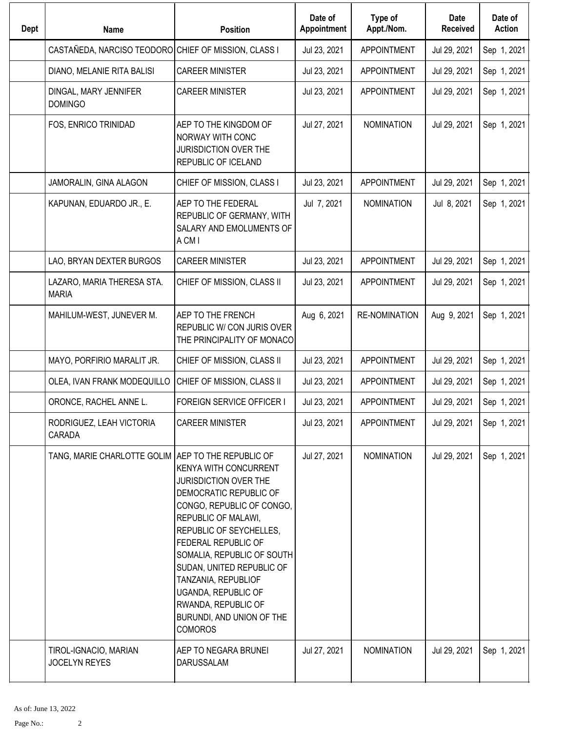| <b>Dept</b> | <b>Name</b>                                          | <b>Position</b>                                                                                                                                                                                                                                                                                                                                                             | Date of<br>Appointment | Type of<br>Appt./Nom. | Date<br><b>Received</b> | Date of<br><b>Action</b> |
|-------------|------------------------------------------------------|-----------------------------------------------------------------------------------------------------------------------------------------------------------------------------------------------------------------------------------------------------------------------------------------------------------------------------------------------------------------------------|------------------------|-----------------------|-------------------------|--------------------------|
|             | CASTAÑEDA, NARCISO TEODORO CHIEF OF MISSION, CLASS I |                                                                                                                                                                                                                                                                                                                                                                             | Jul 23, 2021           | <b>APPOINTMENT</b>    | Jul 29, 2021            | Sep 1, 2021              |
|             | DIANO, MELANIE RITA BALISI                           | <b>CAREER MINISTER</b>                                                                                                                                                                                                                                                                                                                                                      | Jul 23, 2021           | <b>APPOINTMENT</b>    | Jul 29, 2021            | Sep 1, 2021              |
|             | DINGAL, MARY JENNIFER<br><b>DOMINGO</b>              | <b>CAREER MINISTER</b>                                                                                                                                                                                                                                                                                                                                                      | Jul 23, 2021           | <b>APPOINTMENT</b>    | Jul 29, 2021            | Sep 1, 2021              |
|             | FOS, ENRICO TRINIDAD                                 | AEP TO THE KINGDOM OF<br>NORWAY WITH CONC<br><b>JURISDICTION OVER THE</b><br>REPUBLIC OF ICELAND                                                                                                                                                                                                                                                                            | Jul 27, 2021           | <b>NOMINATION</b>     | Jul 29, 2021            | Sep 1, 2021              |
|             | JAMORALIN, GINA ALAGON                               | CHIEF OF MISSION, CLASS I                                                                                                                                                                                                                                                                                                                                                   | Jul 23, 2021           | APPOINTMENT           | Jul 29, 2021            | Sep 1, 2021              |
|             | KAPUNAN, EDUARDO JR., E.                             | AEP TO THE FEDERAL<br>REPUBLIC OF GERMANY, WITH<br>SALARY AND EMOLUMENTS OF<br>A CM I                                                                                                                                                                                                                                                                                       | Jul 7, 2021            | <b>NOMINATION</b>     | Jul 8, 2021             | Sep 1, 2021              |
|             | LAO, BRYAN DEXTER BURGOS                             | <b>CAREER MINISTER</b>                                                                                                                                                                                                                                                                                                                                                      | Jul 23, 2021           | APPOINTMENT           | Jul 29, 2021            | Sep 1, 2021              |
|             | LAZARO, MARIA THERESA STA.<br><b>MARIA</b>           | CHIEF OF MISSION, CLASS II                                                                                                                                                                                                                                                                                                                                                  | Jul 23, 2021           | APPOINTMENT           | Jul 29, 2021            | Sep 1, 2021              |
|             | MAHILUM-WEST, JUNEVER M.                             | AEP TO THE FRENCH<br>REPUBLIC W/ CON JURIS OVER<br>THE PRINCIPALITY OF MONACO                                                                                                                                                                                                                                                                                               | Aug 6, 2021            | RE-NOMINATION         | Aug 9, 2021             | Sep 1, 2021              |
|             | MAYO, PORFIRIO MARALIT JR.                           | CHIEF OF MISSION, CLASS II                                                                                                                                                                                                                                                                                                                                                  | Jul 23, 2021           | <b>APPOINTMENT</b>    | Jul 29, 2021            | Sep 1, 2021              |
|             | OLEA, IVAN FRANK MODEQUILLO                          | CHIEF OF MISSION, CLASS II                                                                                                                                                                                                                                                                                                                                                  | Jul 23, 2021           | <b>APPOINTMENT</b>    | Jul 29, 2021            | Sep 1, 2021              |
|             | ORONCE, RACHEL ANNE L.                               | <b>FOREIGN SERVICE OFFICER I</b>                                                                                                                                                                                                                                                                                                                                            | Jul 23, 2021           | <b>APPOINTMENT</b>    | Jul 29, 2021            | Sep 1, 2021              |
|             | RODRIGUEZ, LEAH VICTORIA<br>CARADA                   | <b>CAREER MINISTER</b>                                                                                                                                                                                                                                                                                                                                                      | Jul 23, 2021           | <b>APPOINTMENT</b>    | Jul 29, 2021            | Sep 1, 2021              |
|             | TANG, MARIE CHARLOTTE GOLIM AEP TO THE REPUBLIC OF   | <b>KENYA WITH CONCURRENT</b><br><b>JURISDICTION OVER THE</b><br>DEMOCRATIC REPUBLIC OF<br>CONGO, REPUBLIC OF CONGO,<br>REPUBLIC OF MALAWI,<br>REPUBLIC OF SEYCHELLES,<br>FEDERAL REPUBLIC OF<br>SOMALIA, REPUBLIC OF SOUTH<br>SUDAN, UNITED REPUBLIC OF<br>TANZANIA, REPUBLIOF<br>UGANDA, REPUBLIC OF<br>RWANDA, REPUBLIC OF<br>BURUNDI, AND UNION OF THE<br><b>COMOROS</b> | Jul 27, 2021           | <b>NOMINATION</b>     | Jul 29, 2021            | Sep 1, 2021              |
|             | TIROL-IGNACIO, MARIAN<br><b>JOCELYN REYES</b>        | AEP TO NEGARA BRUNEI<br>DARUSSALAM                                                                                                                                                                                                                                                                                                                                          | Jul 27, 2021           | <b>NOMINATION</b>     | Jul 29, 2021            | Sep 1, 2021              |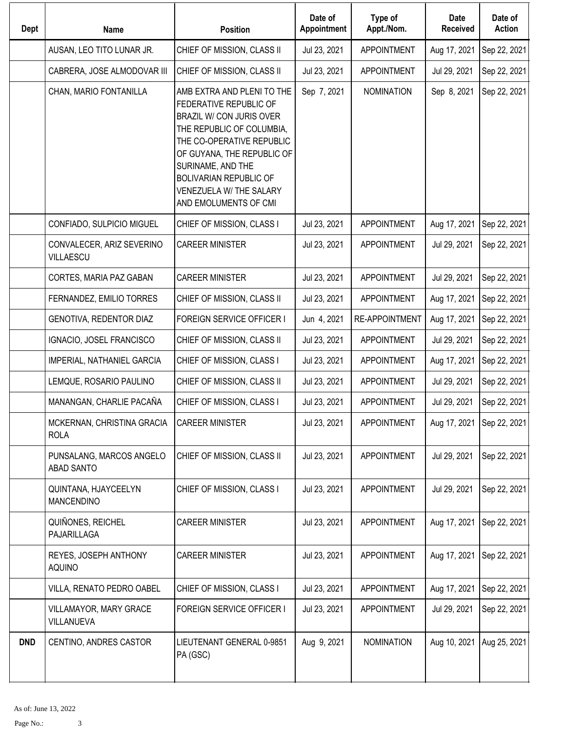| Dept       | Name                                      | <b>Position</b>                                                                                                                                                                                                                                                             | Date of<br>Appointment | Type of<br>Appt./Nom. | <b>Date</b><br><b>Received</b> | Date of<br><b>Action</b> |
|------------|-------------------------------------------|-----------------------------------------------------------------------------------------------------------------------------------------------------------------------------------------------------------------------------------------------------------------------------|------------------------|-----------------------|--------------------------------|--------------------------|
|            | AUSAN, LEO TITO LUNAR JR.                 | CHIEF OF MISSION, CLASS II                                                                                                                                                                                                                                                  | Jul 23, 2021           | <b>APPOINTMENT</b>    | Aug 17, 2021                   | Sep 22, 2021             |
|            | CABRERA, JOSE ALMODOVAR III               | CHIEF OF MISSION, CLASS II                                                                                                                                                                                                                                                  | Jul 23, 2021           | <b>APPOINTMENT</b>    | Jul 29, 2021                   | Sep 22, 2021             |
|            | CHAN, MARIO FONTANILLA                    | AMB EXTRA AND PLENI TO THE<br>FEDERATIVE REPUBLIC OF<br>BRAZIL W/ CON JURIS OVER<br>THE REPUBLIC OF COLUMBIA,<br>THE CO-OPERATIVE REPUBLIC<br>OF GUYANA, THE REPUBLIC OF<br>SURINAME, AND THE<br>BOLIVARIAN REPUBLIC OF<br>VENEZUELA W/ THE SALARY<br>AND EMOLUMENTS OF CMI | Sep 7, 2021            | <b>NOMINATION</b>     | Sep 8, 2021                    | Sep 22, 2021             |
|            | CONFIADO, SULPICIO MIGUEL                 | CHIEF OF MISSION, CLASS I                                                                                                                                                                                                                                                   | Jul 23, 2021           | <b>APPOINTMENT</b>    | Aug 17, 2021                   | Sep 22, 2021             |
|            | CONVALECER, ARIZ SEVERINO<br>VILLAESCU    | <b>CAREER MINISTER</b>                                                                                                                                                                                                                                                      | Jul 23, 2021           | <b>APPOINTMENT</b>    | Jul 29, 2021                   | Sep 22, 2021             |
|            | CORTES, MARIA PAZ GABAN                   | <b>CAREER MINISTER</b>                                                                                                                                                                                                                                                      | Jul 23, 2021           | <b>APPOINTMENT</b>    | Jul 29, 2021                   | Sep 22, 2021             |
|            | FERNANDEZ, EMILIO TORRES                  | CHIEF OF MISSION, CLASS II                                                                                                                                                                                                                                                  | Jul 23, 2021           | <b>APPOINTMENT</b>    | Aug 17, 2021                   | Sep 22, 2021             |
|            | GENOTIVA, REDENTOR DIAZ                   | FOREIGN SERVICE OFFICER I                                                                                                                                                                                                                                                   | Jun 4, 2021            | <b>RE-APPOINTMENT</b> | Aug 17, 2021                   | Sep 22, 2021             |
|            | IGNACIO, JOSEL FRANCISCO                  | CHIEF OF MISSION, CLASS II                                                                                                                                                                                                                                                  | Jul 23, 2021           | <b>APPOINTMENT</b>    | Jul 29, 2021                   | Sep 22, 2021             |
|            | IMPERIAL, NATHANIEL GARCIA                | CHIEF OF MISSION, CLASS I                                                                                                                                                                                                                                                   | Jul 23, 2021           | <b>APPOINTMENT</b>    | Aug 17, 2021                   | Sep 22, 2021             |
|            | LEMQUE, ROSARIO PAULINO                   | CHIEF OF MISSION, CLASS II                                                                                                                                                                                                                                                  | Jul 23, 2021           | <b>APPOINTMENT</b>    | Jul 29, 2021                   | Sep 22, 2021             |
|            | MANANGAN, CHARLIE PACAÑA                  | CHIEF OF MISSION, CLASS I                                                                                                                                                                                                                                                   | Jul 23, 2021           | <b>APPOINTMENT</b>    | Jul 29, 2021                   | Sep 22, 2021             |
|            | MCKERNAN, CHRISTINA GRACIA<br><b>ROLA</b> | <b>CAREER MINISTER</b>                                                                                                                                                                                                                                                      | Jul 23, 2021           | <b>APPOINTMENT</b>    | Aug 17, 2021   Sep 22, 2021    |                          |
|            | PUNSALANG, MARCOS ANGELO<br>ABAD SANTO    | CHIEF OF MISSION, CLASS II                                                                                                                                                                                                                                                  | Jul 23, 2021           | <b>APPOINTMENT</b>    | Jul 29, 2021                   | Sep 22, 2021             |
|            | QUINTANA, HJAYCEELYN<br><b>MANCENDINO</b> | CHIEF OF MISSION, CLASS I                                                                                                                                                                                                                                                   | Jul 23, 2021           | APPOINTMENT           | Jul 29, 2021                   | Sep 22, 2021             |
|            | QUIÑONES, REICHEL<br>PAJARILLAGA          | <b>CAREER MINISTER</b>                                                                                                                                                                                                                                                      | Jul 23, 2021           | APPOINTMENT           | Aug 17, 2021                   | Sep 22, 2021             |
|            | REYES, JOSEPH ANTHONY<br><b>AQUINO</b>    | <b>CAREER MINISTER</b>                                                                                                                                                                                                                                                      | Jul 23, 2021           | APPOINTMENT           | Aug 17, 2021                   | Sep 22, 2021             |
|            | VILLA, RENATO PEDRO OABEL                 | CHIEF OF MISSION, CLASS I                                                                                                                                                                                                                                                   | Jul 23, 2021           | <b>APPOINTMENT</b>    | Aug 17, 2021                   | Sep 22, 2021             |
|            | VILLAMAYOR, MARY GRACE<br>VILLANUEVA      | <b>FOREIGN SERVICE OFFICER I</b>                                                                                                                                                                                                                                            | Jul 23, 2021           | <b>APPOINTMENT</b>    | Jul 29, 2021                   | Sep 22, 2021             |
| <b>DND</b> | CENTINO, ANDRES CASTOR                    | LIEUTENANT GENERAL 0-9851<br>PA (GSC)                                                                                                                                                                                                                                       | Aug 9, 2021            | <b>NOMINATION</b>     | Aug 10, 2021                   | Aug 25, 2021             |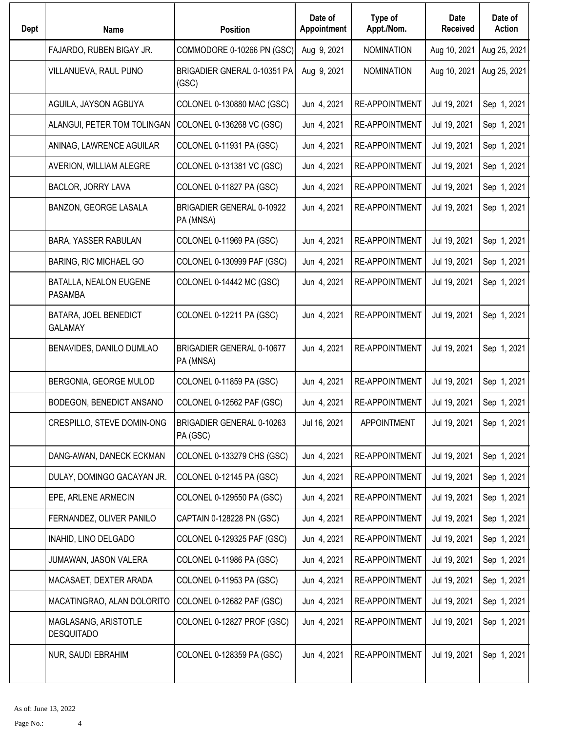| <b>Dept</b> | <b>Name</b>                               | <b>Position</b>                        | Date of<br>Appointment | Type of<br>Appt./Nom. | Date<br><b>Received</b> | Date of<br><b>Action</b> |
|-------------|-------------------------------------------|----------------------------------------|------------------------|-----------------------|-------------------------|--------------------------|
|             | FAJARDO, RUBEN BIGAY JR.                  | COMMODORE 0-10266 PN (GSC)             | Aug 9, 2021            | <b>NOMINATION</b>     | Aug 10, 2021            | Aug 25, 2021             |
|             | VILLANUEVA, RAUL PUNO                     | BRIGADIER GNERAL 0-10351 PA<br>(GSC)   | Aug 9, 2021            | <b>NOMINATION</b>     | Aug 10, 2021            | Aug 25, 2021             |
|             | AGUILA, JAYSON AGBUYA                     | COLONEL 0-130880 MAC (GSC)             | Jun 4, 2021            | <b>RE-APPOINTMENT</b> | Jul 19, 2021            | Sep 1, 2021              |
|             | ALANGUI, PETER TOM TOLINGAN               | COLONEL 0-136268 VC (GSC)              | Jun 4, 2021            | <b>RE-APPOINTMENT</b> | Jul 19, 2021            | Sep 1, 2021              |
|             | ANINAG, LAWRENCE AGUILAR                  | COLONEL 0-11931 PA (GSC)               | Jun 4, 2021            | <b>RE-APPOINTMENT</b> | Jul 19, 2021            | Sep 1, 2021              |
|             | AVERION, WILLIAM ALEGRE                   | COLONEL 0-131381 VC (GSC)              | Jun 4, 2021            | RE-APPOINTMENT        | Jul 19, 2021            | Sep 1, 2021              |
|             | BACLOR, JORRY LAVA                        | COLONEL 0-11827 PA (GSC)               | Jun 4, 2021            | <b>RE-APPOINTMENT</b> | Jul 19, 2021            | Sep 1, 2021              |
|             | BANZON, GEORGE LASALA                     | BRIGADIER GENERAL 0-10922<br>PA (MNSA) | Jun 4, 2021            | RE-APPOINTMENT        | Jul 19, 2021            | Sep 1, 2021              |
|             | BARA, YASSER RABULAN                      | COLONEL 0-11969 PA (GSC)               | Jun 4, 2021            | <b>RE-APPOINTMENT</b> | Jul 19, 2021            | Sep 1, 2021              |
|             | <b>BARING, RIC MICHAEL GO</b>             | COLONEL 0-130999 PAF (GSC)             | Jun 4, 2021            | <b>RE-APPOINTMENT</b> | Jul 19, 2021            | Sep 1, 2021              |
|             | BATALLA, NEALON EUGENE<br><b>PASAMBA</b>  | COLONEL 0-14442 MC (GSC)               | Jun 4, 2021            | <b>RE-APPOINTMENT</b> | Jul 19, 2021            | Sep 1, 2021              |
|             | BATARA, JOEL BENEDICT<br><b>GALAMAY</b>   | COLONEL 0-12211 PA (GSC)               | Jun 4, 2021            | <b>RE-APPOINTMENT</b> | Jul 19, 2021            | Sep 1, 2021              |
|             | BENAVIDES, DANILO DUMLAO                  | BRIGADIER GENERAL 0-10677<br>PA (MNSA) | Jun 4, 2021            | <b>RE-APPOINTMENT</b> | Jul 19, 2021            | Sep 1, 2021              |
|             | BERGONIA, GEORGE MULOD                    | COLONEL 0-11859 PA (GSC)               | Jun 4, 2021            | RE-APPOINTMENT        | Jul 19, 2021            | Sep 1, 2021              |
|             | BODEGON, BENEDICT ANSANO                  | COLONEL 0-12562 PAF (GSC)              | Jun 4, 2021            | <b>RE-APPOINTMENT</b> | Jul 19, 2021            | Sep 1, 2021              |
|             | CRESPILLO, STEVE DOMIN-ONG                | BRIGADIER GENERAL 0-10263<br>PA (GSC)  | Jul 16, 2021           | <b>APPOINTMENT</b>    | Jul 19, 2021            | Sep 1, 2021              |
|             | DANG-AWAN, DANECK ECKMAN                  | COLONEL 0-133279 CHS (GSC)             | Jun 4, 2021            | RE-APPOINTMENT        | Jul 19, 2021            | Sep 1, 2021              |
|             | DULAY, DOMINGO GACAYAN JR.                | COLONEL 0-12145 PA (GSC)               | Jun 4, 2021            | RE-APPOINTMENT        | Jul 19, 2021            | Sep 1, 2021              |
|             | EPE, ARLENE ARMECIN                       | COLONEL 0-129550 PA (GSC)              | Jun 4, 2021            | <b>RE-APPOINTMENT</b> | Jul 19, 2021            | Sep 1, 2021              |
|             | FERNANDEZ, OLIVER PANILO                  | CAPTAIN 0-128228 PN (GSC)              | Jun 4, 2021            | RE-APPOINTMENT        | Jul 19, 2021            | Sep 1, 2021              |
|             | INAHID, LINO DELGADO                      | COLONEL 0-129325 PAF (GSC)             | Jun 4, 2021            | <b>RE-APPOINTMENT</b> | Jul 19, 2021            | Sep 1, 2021              |
|             | JUMAWAN, JASON VALERA                     | COLONEL 0-11986 PA (GSC)               | Jun 4, 2021            | RE-APPOINTMENT        | Jul 19, 2021            | Sep 1, 2021              |
|             | MACASAET, DEXTER ARADA                    | COLONEL 0-11953 PA (GSC)               | Jun 4, 2021            | RE-APPOINTMENT        | Jul 19, 2021            | Sep 1, 2021              |
|             | MACATINGRAO, ALAN DOLORITO                | COLONEL 0-12682 PAF (GSC)              | Jun 4, 2021            | RE-APPOINTMENT        | Jul 19, 2021            | Sep 1, 2021              |
|             | MAGLASANG, ARISTOTLE<br><b>DESQUITADO</b> | COLONEL 0-12827 PROF (GSC)             | Jun 4, 2021            | RE-APPOINTMENT        | Jul 19, 2021            | Sep 1, 2021              |
|             | NUR, SAUDI EBRAHIM                        | COLONEL 0-128359 PA (GSC)              | Jun 4, 2021            | RE-APPOINTMENT        | Jul 19, 2021            | Sep 1, 2021              |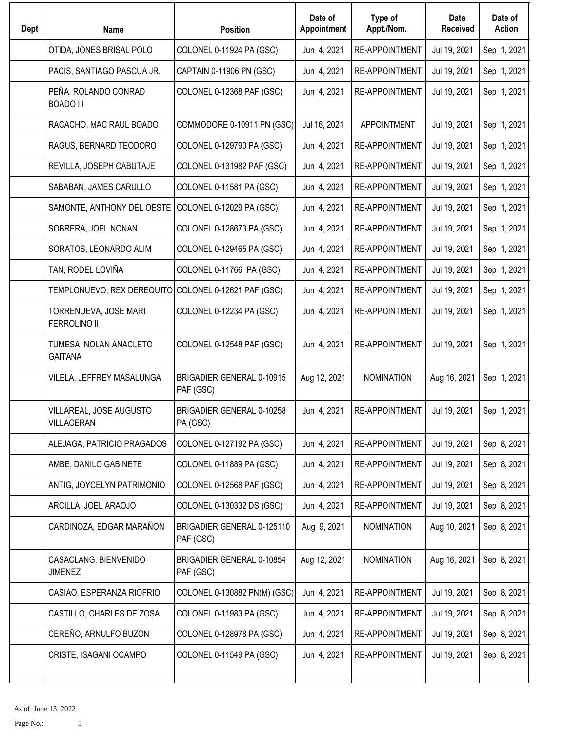| Dept | <b>Name</b>                                          | <b>Position</b>                               | Date of<br>Appointment | Type of<br>Appt./Nom. | Date<br><b>Received</b> | Date of<br><b>Action</b> |
|------|------------------------------------------------------|-----------------------------------------------|------------------------|-----------------------|-------------------------|--------------------------|
|      | OTIDA, JONES BRISAL POLO                             | COLONEL 0-11924 PA (GSC)                      | Jun 4, 2021            | RE-APPOINTMENT        | Jul 19, 2021            | Sep 1, 2021              |
|      | PACIS, SANTIAGO PASCUA JR.                           | CAPTAIN 0-11906 PN (GSC)                      | Jun 4, 2021            | <b>RE-APPOINTMENT</b> | Jul 19, 2021            | Sep 1, 2021              |
|      | PEÑA, ROLANDO CONRAD<br><b>BOADO III</b>             | COLONEL 0-12368 PAF (GSC)                     | Jun 4, 2021            | RE-APPOINTMENT        | Jul 19, 2021            | Sep 1, 2021              |
|      | RACACHO, MAC RAUL BOADO                              | COMMODORE 0-10911 PN (GSC)                    | Jul 16, 2021           | <b>APPOINTMENT</b>    | Jul 19, 2021            | Sep 1, 2021              |
|      | RAGUS, BERNARD TEODORO                               | COLONEL 0-129790 PA (GSC)                     | Jun 4, 2021            | RE-APPOINTMENT        | Jul 19, 2021            | Sep 1, 2021              |
|      | REVILLA, JOSEPH CABUTAJE                             | COLONEL 0-131982 PAF (GSC)                    | Jun 4, 2021            | RE-APPOINTMENT        | Jul 19, 2021            | Sep 1, 2021              |
|      | SABABAN, JAMES CARULLO                               | COLONEL 0-11581 PA (GSC)                      | Jun 4, 2021            | <b>RE-APPOINTMENT</b> | Jul 19, 2021            | Sep 1, 2021              |
|      | SAMONTE, ANTHONY DEL OESTE                           | COLONEL 0-12029 PA (GSC)                      | Jun 4, 2021            | RE-APPOINTMENT        | Jul 19, 2021            | Sep 1, 2021              |
|      | SOBRERA, JOEL NONAN                                  | COLONEL 0-128673 PA (GSC)                     | Jun 4, 2021            | <b>RE-APPOINTMENT</b> | Jul 19, 2021            | Sep 1, 2021              |
|      | SORATOS, LEONARDO ALIM                               | COLONEL 0-129465 PA (GSC)                     | Jun 4, 2021            | <b>RE-APPOINTMENT</b> | Jul 19, 2021            | Sep 1, 2021              |
|      | TAN, RODEL LOVIÑA                                    | COLONEL 0-11766 PA (GSC)                      | Jun 4, 2021            | <b>RE-APPOINTMENT</b> | Jul 19, 2021            | Sep 1, 2021              |
|      | TEMPLONUEVO, REX DEREQUITO COLONEL 0-12621 PAF (GSC) |                                               | Jun 4, 2021            | <b>RE-APPOINTMENT</b> | Jul 19, 2021            | Sep 1, 2021              |
|      | TORRENUEVA, JOSE MARI<br><b>FERROLINO II</b>         | COLONEL 0-12234 PA (GSC)                      | Jun 4, 2021            | RE-APPOINTMENT        | Jul 19, 2021            | Sep 1, 2021              |
|      | TUMESA, NOLAN ANACLETO<br><b>GAITANA</b>             | COLONEL 0-12548 PAF (GSC)                     | Jun 4, 2021            | RE-APPOINTMENT        | Jul 19, 2021            | Sep 1, 2021              |
|      | VILELA, JEFFREY MASALUNGA                            | <b>BRIGADIER GENERAL 0-10915</b><br>PAF (GSC) | Aug 12, 2021           | <b>NOMINATION</b>     | Aug 16, 2021            | Sep 1, 2021              |
|      | VILLAREAL, JOSE AUGUSTO<br>VILLACERAN                | BRIGADIER GENERAL 0-10258<br>PA (GSC)         | Jun 4, 2021            | RE-APPOINTMENT        | Jul 19, 2021            | Sep 1, 2021              |
|      | ALEJAGA, PATRICIO PRAGADOS                           | COLONEL 0-127192 PA (GSC)                     | Jun 4, 2021            | <b>RE-APPOINTMENT</b> | Jul 19, 2021            | Sep 8, 2021              |
|      | AMBE, DANILO GABINETE                                | COLONEL 0-11889 PA (GSC)                      | Jun 4, 2021            | <b>RE-APPOINTMENT</b> | Jul 19, 2021            | Sep 8, 2021              |
|      | ANTIG, JOYCELYN PATRIMONIO                           | COLONEL 0-12568 PAF (GSC)                     | Jun 4, 2021            | RE-APPOINTMENT        | Jul 19, 2021            | Sep 8, 2021              |
|      | ARCILLA, JOEL ARAOJO                                 | COLONEL 0-130332 DS (GSC)                     | Jun 4, 2021            | RE-APPOINTMENT        | Jul 19, 2021            | Sep 8, 2021              |
|      | CARDINOZA, EDGAR MARAÑON                             | BRIGADIER GENERAL 0-125110<br>PAF (GSC)       | Aug 9, 2021            | <b>NOMINATION</b>     | Aug 10, 2021            | Sep 8, 2021              |
|      | CASACLANG, BIENVENIDO<br><b>JIMENEZ</b>              | BRIGADIER GENERAL 0-10854<br>PAF (GSC)        | Aug 12, 2021           | <b>NOMINATION</b>     | Aug 16, 2021            | Sep 8, 2021              |
|      | CASIAO, ESPERANZA RIOFRIO                            | COLONEL 0-130882 PN(M) (GSC)                  | Jun 4, 2021            | RE-APPOINTMENT        | Jul 19, 2021            | Sep 8, 2021              |
|      | CASTILLO, CHARLES DE ZOSA                            | COLONEL 0-11983 PA (GSC)                      | Jun 4, 2021            | <b>RE-APPOINTMENT</b> | Jul 19, 2021            | Sep 8, 2021              |
|      | CEREÑO, ARNULFO BUZON                                | COLONEL 0-128978 PA (GSC)                     | Jun 4, 2021            | RE-APPOINTMENT        | Jul 19, 2021            | Sep 8, 2021              |
|      | CRISTE, ISAGANI OCAMPO                               | COLONEL 0-11549 PA (GSC)                      | Jun 4, 2021            | <b>RE-APPOINTMENT</b> | Jul 19, 2021            | Sep 8, 2021              |
|      |                                                      |                                               |                        |                       |                         |                          |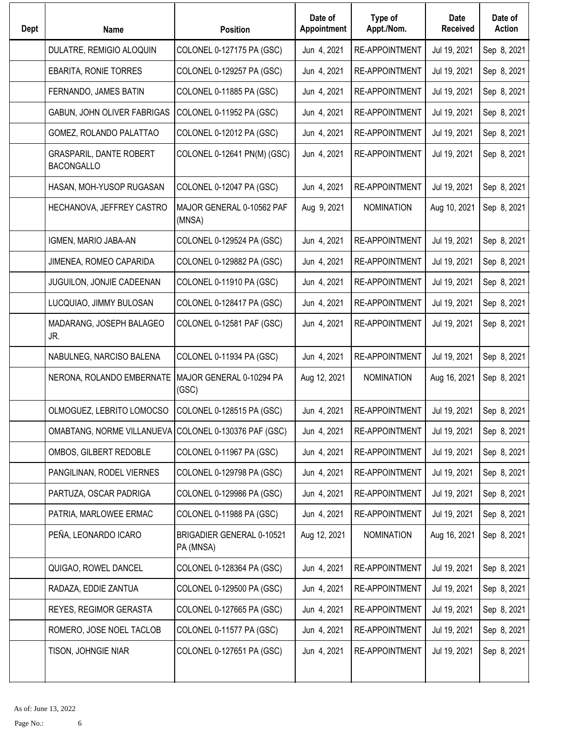| <b>Dept</b> | <b>Name</b>                                           | <b>Position</b>                        | Date of<br>Appointment | Type of<br>Appt./Nom. | Date<br><b>Received</b> | Date of<br><b>Action</b> |
|-------------|-------------------------------------------------------|----------------------------------------|------------------------|-----------------------|-------------------------|--------------------------|
|             | DULATRE, REMIGIO ALOQUIN                              | COLONEL 0-127175 PA (GSC)              | Jun 4, 2021            | <b>RE-APPOINTMENT</b> | Jul 19, 2021            | Sep 8, 2021              |
|             | EBARITA, RONIE TORRES                                 | COLONEL 0-129257 PA (GSC)              | Jun 4, 2021            | <b>RE-APPOINTMENT</b> | Jul 19, 2021            | Sep 8, 2021              |
|             | FERNANDO, JAMES BATIN                                 | COLONEL 0-11885 PA (GSC)               | Jun 4, 2021            | <b>RE-APPOINTMENT</b> | Jul 19, 2021            | Sep 8, 2021              |
|             | GABUN, JOHN OLIVER FABRIGAS                           | COLONEL 0-11952 PA (GSC)               | Jun 4, 2021            | RE-APPOINTMENT        | Jul 19, 2021            | Sep 8, 2021              |
|             | GOMEZ, ROLANDO PALATTAO                               | COLONEL 0-12012 PA (GSC)               | Jun 4, 2021            | <b>RE-APPOINTMENT</b> | Jul 19, 2021            | Sep 8, 2021              |
|             | <b>GRASPARIL, DANTE ROBERT</b><br><b>BACONGALLO</b>   | COLONEL 0-12641 PN(M) (GSC)            | Jun 4, 2021            | <b>RE-APPOINTMENT</b> | Jul 19, 2021            | Sep 8, 2021              |
|             | HASAN, MOH-YUSOP RUGASAN                              | COLONEL 0-12047 PA (GSC)               | Jun 4, 2021            | <b>RE-APPOINTMENT</b> | Jul 19, 2021            | Sep 8, 2021              |
|             | HECHANOVA, JEFFREY CASTRO                             | MAJOR GENERAL 0-10562 PAF<br>(MNSA)    | Aug 9, 2021            | <b>NOMINATION</b>     | Aug 10, 2021            | Sep 8, 2021              |
|             | IGMEN, MARIO JABA-AN                                  | COLONEL 0-129524 PA (GSC)              | Jun 4, 2021            | <b>RE-APPOINTMENT</b> | Jul 19, 2021            | Sep 8, 2021              |
|             | JIMENEA, ROMEO CAPARIDA                               | COLONEL 0-129882 PA (GSC)              | Jun 4, 2021            | <b>RE-APPOINTMENT</b> | Jul 19, 2021            | Sep 8, 2021              |
|             | JUGUILON, JONJIE CADEENAN                             | COLONEL 0-11910 PA (GSC)               | Jun 4, 2021            | <b>RE-APPOINTMENT</b> | Jul 19, 2021            | Sep 8, 2021              |
|             | LUCQUIAO, JIMMY BULOSAN                               | COLONEL 0-128417 PA (GSC)              | Jun 4, 2021            | RE-APPOINTMENT        | Jul 19, 2021            | Sep 8, 2021              |
|             | MADARANG, JOSEPH BALAGEO<br>JR.                       | COLONEL 0-12581 PAF (GSC)              | Jun 4, 2021            | RE-APPOINTMENT        | Jul 19, 2021            | Sep 8, 2021              |
|             | NABULNEG, NARCISO BALENA                              | COLONEL 0-11934 PA (GSC)               | Jun 4, 2021            | <b>RE-APPOINTMENT</b> | Jul 19, 2021            | Sep 8, 2021              |
|             | NERONA, ROLANDO EMBERNATE                             | MAJOR GENERAL 0-10294 PA<br>(GSC)      | Aug 12, 2021           | <b>NOMINATION</b>     | Aug 16, 2021            | Sep 8, 2021              |
|             | OLMOGUEZ, LEBRITO LOMOCSO                             | COLONEL 0-128515 PA (GSC)              | Jun 4, 2021            | RE-APPOINTMENT        | Jul 19, 2021            | Sep 8, 2021              |
|             | OMABTANG, NORME VILLANUEVA COLONEL 0-130376 PAF (GSC) |                                        | Jun 4, 2021            | <b>RE-APPOINTMENT</b> | Jul 19, 2021            | Sep 8, 2021              |
|             | OMBOS, GILBERT REDOBLE                                | COLONEL 0-11967 PA (GSC)               | Jun 4, 2021            | RE-APPOINTMENT        | Jul 19, 2021            | Sep 8, 2021              |
|             | PANGILINAN, RODEL VIERNES                             | COLONEL 0-129798 PA (GSC)              | Jun 4, 2021            | RE-APPOINTMENT        | Jul 19, 2021            | Sep 8, 2021              |
|             | PARTUZA, OSCAR PADRIGA                                | COLONEL 0-129986 PA (GSC)              | Jun 4, 2021            | RE-APPOINTMENT        | Jul 19, 2021            | Sep 8, 2021              |
|             | PATRIA, MARLOWEE ERMAC                                | COLONEL 0-11988 PA (GSC)               | Jun 4, 2021            | RE-APPOINTMENT        | Jul 19, 2021            | Sep 8, 2021              |
|             | PEÑA, LEONARDO ICARO                                  | BRIGADIER GENERAL 0-10521<br>PA (MNSA) | Aug 12, 2021           | <b>NOMINATION</b>     | Aug 16, 2021            | Sep 8, 2021              |
|             | QUIGAO, ROWEL DANCEL                                  | COLONEL 0-128364 PA (GSC)              | Jun 4, 2021            | RE-APPOINTMENT        | Jul 19, 2021            | Sep 8, 2021              |
|             | RADAZA, EDDIE ZANTUA                                  | COLONEL 0-129500 PA (GSC)              | Jun 4, 2021            | RE-APPOINTMENT        | Jul 19, 2021            | Sep 8, 2021              |
|             | REYES, REGIMOR GERASTA                                | COLONEL 0-127665 PA (GSC)              | Jun 4, 2021            | RE-APPOINTMENT        | Jul 19, 2021            | Sep 8, 2021              |
|             | ROMERO, JOSE NOEL TACLOB                              | COLONEL 0-11577 PA (GSC)               | Jun 4, 2021            | RE-APPOINTMENT        | Jul 19, 2021            | Sep 8, 2021              |
|             | TISON, JOHNGIE NIAR                                   | COLONEL 0-127651 PA (GSC)              | Jun 4, 2021            | RE-APPOINTMENT        | Jul 19, 2021            | Sep 8, 2021              |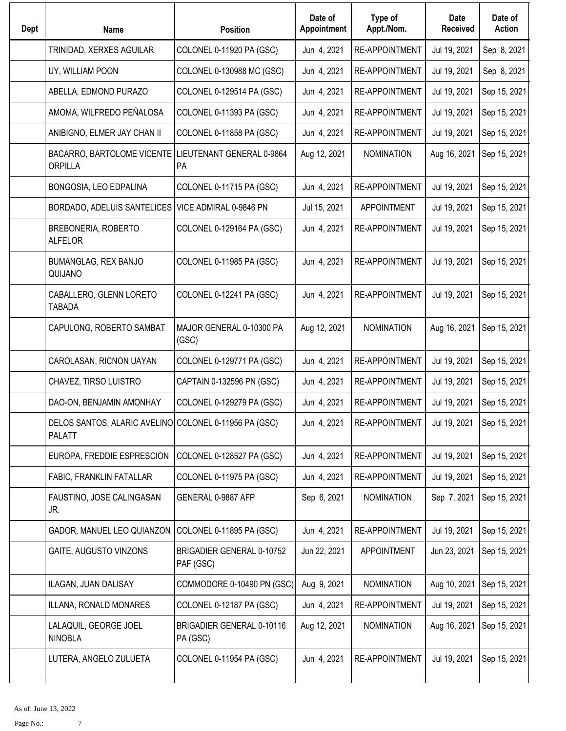| Dept | <b>Name</b>                                                            | <b>Position</b>                        | Date of<br>Appointment | Type of<br>Appt./Nom. | Date<br><b>Received</b> | Date of<br><b>Action</b> |
|------|------------------------------------------------------------------------|----------------------------------------|------------------------|-----------------------|-------------------------|--------------------------|
|      | TRINIDAD, XERXES AGUILAR                                               | COLONEL 0-11920 PA (GSC)               | Jun 4, 2021            | RE-APPOINTMENT        | Jul 19, 2021            | Sep 8, 2021              |
|      | UY, WILLIAM POON                                                       | COLONEL 0-130988 MC (GSC)              | Jun 4, 2021            | <b>RE-APPOINTMENT</b> | Jul 19, 2021            | Sep 8, 2021              |
|      | ABELLA, EDMOND PURAZO                                                  | COLONEL 0-129514 PA (GSC)              | Jun 4, 2021            | <b>RE-APPOINTMENT</b> | Jul 19, 2021            | Sep 15, 2021             |
|      | AMOMA, WILFREDO PEÑALOSA                                               | COLONEL 0-11393 PA (GSC)               | Jun 4, 2021            | <b>RE-APPOINTMENT</b> | Jul 19, 2021            | Sep 15, 2021             |
|      | ANIBIGNO, ELMER JAY CHAN II                                            | COLONEL 0-11858 PA (GSC)               | Jun 4, 2021            | RE-APPOINTMENT        | Jul 19, 2021            | Sep 15, 2021             |
|      | BACARRO, BARTOLOME VICENTE<br><b>ORPILLA</b>                           | LIEUTENANT GENERAL 0-9864<br><b>PA</b> | Aug 12, 2021           | <b>NOMINATION</b>     | Aug 16, 2021            | Sep 15, 2021             |
|      | BONGOSIA, LEO EDPALINA                                                 | COLONEL 0-11715 PA (GSC)               | Jun 4, 2021            | RE-APPOINTMENT        | Jul 19, 2021            | Sep 15, 2021             |
|      | BORDADO, ADELUIS SANTELICES                                            | VICE ADMIRAL 0-9846 PN                 | Jul 15, 2021           | <b>APPOINTMENT</b>    | Jul 19, 2021            | Sep 15, 2021             |
|      | BREBONERIA, ROBERTO<br><b>ALFELOR</b>                                  | COLONEL 0-129164 PA (GSC)              | Jun 4, 2021            | <b>RE-APPOINTMENT</b> | Jul 19, 2021            | Sep 15, 2021             |
|      | <b>BUMANGLAG, REX BANJO</b><br>QUIJANO                                 | COLONEL 0-11985 PA (GSC)               | Jun 4, 2021            | RE-APPOINTMENT        | Jul 19, 2021            | Sep 15, 2021             |
|      | CABALLERO, GLENN LORETO<br><b>TABADA</b>                               | COLONEL 0-12241 PA (GSC)               | Jun 4, 2021            | <b>RE-APPOINTMENT</b> | Jul 19, 2021            | Sep 15, 2021             |
|      | CAPULONG, ROBERTO SAMBAT                                               | MAJOR GENERAL 0-10300 PA<br>(GSC)      | Aug 12, 2021           | <b>NOMINATION</b>     | Aug 16, 2021            | Sep 15, 2021             |
|      | CAROLASAN, RICNON UAYAN                                                | COLONEL 0-129771 PA (GSC)              | Jun 4, 2021            | RE-APPOINTMENT        | Jul 19, 2021            | Sep 15, 2021             |
|      | CHAVEZ, TIRSO LUISTRO                                                  | CAPTAIN 0-132596 PN (GSC)              | Jun 4, 2021            | <b>RE-APPOINTMENT</b> | Jul 19, 2021            | Sep 15, 2021             |
|      | DAO-ON, BENJAMIN AMONHAY                                               | COLONEL 0-129279 PA (GSC)              | Jun 4, 2021            | RE-APPOINTMENT        | Jul 19, 2021            | Sep 15, 2021             |
|      | DELOS SANTOS, ALARIC AVELINO COLONEL 0-11956 PA (GSC)<br><b>PALATT</b> |                                        | Jun 4, 2021            | RE-APPOINTMENT        | Jul 19, 2021            | Sep 15, 2021             |
|      | EUROPA, FREDDIE ESPRESCION                                             | COLONEL 0-128527 PA (GSC)              | Jun 4, 2021            | <b>RE-APPOINTMENT</b> | Jul 19, 2021            | Sep 15, 2021             |
|      | FABIC, FRANKLIN FATALLAR                                               | COLONEL 0-11975 PA (GSC)               | Jun 4, 2021            | <b>RE-APPOINTMENT</b> | Jul 19, 2021            | Sep 15, 2021             |
|      | FAUSTINO, JOSE CALINGASAN<br>JR.                                       | GENERAL 0-9887 AFP                     | Sep 6, 2021            | <b>NOMINATION</b>     | Sep 7, 2021             | Sep 15, 2021             |
|      | GADOR, MANUEL LEO QUIANZON                                             | COLONEL 0-11895 PA (GSC)               | Jun 4, 2021            | RE-APPOINTMENT        | Jul 19, 2021            | Sep 15, 2021             |
|      | GAITE, AUGUSTO VINZONS                                                 | BRIGADIER GENERAL 0-10752<br>PAF (GSC) | Jun 22, 2021           | <b>APPOINTMENT</b>    | Jun 23, 2021            | Sep 15, 2021             |
|      | ILAGAN, JUAN DALISAY                                                   | COMMODORE 0-10490 PN (GSC)             | Aug 9, 2021            | <b>NOMINATION</b>     | Aug 10, 2021            | Sep 15, 2021             |
|      | ILLANA, RONALD MONARES                                                 | COLONEL 0-12187 PA (GSC)               | Jun 4, 2021            | <b>RE-APPOINTMENT</b> | Jul 19, 2021            | Sep 15, 2021             |
|      | LALAQUIL, GEORGE JOEL<br><b>NINOBLA</b>                                | BRIGADIER GENERAL 0-10116<br>PA (GSC)  | Aug 12, 2021           | <b>NOMINATION</b>     | Aug 16, 2021            | Sep 15, 2021             |
|      | LUTERA, ANGELO ZULUETA                                                 | COLONEL 0-11954 PA (GSC)               | Jun 4, 2021            | RE-APPOINTMENT        | Jul 19, 2021            | Sep 15, 2021             |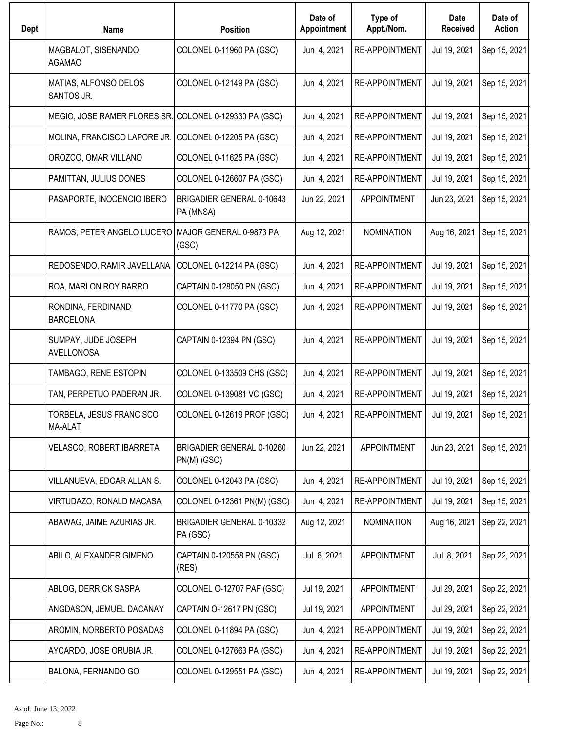| Dept | <b>Name</b>                                            | <b>Position</b>                          | Date of<br>Appointment | Type of<br>Appt./Nom. | Date<br><b>Received</b> | Date of<br><b>Action</b> |
|------|--------------------------------------------------------|------------------------------------------|------------------------|-----------------------|-------------------------|--------------------------|
|      | MAGBALOT, SISENANDO<br><b>AGAMAO</b>                   | COLONEL 0-11960 PA (GSC)                 | Jun 4, 2021            | <b>RE-APPOINTMENT</b> | Jul 19, 2021            | Sep 15, 2021             |
|      | MATIAS, ALFONSO DELOS<br>SANTOS JR.                    | COLONEL 0-12149 PA (GSC)                 | Jun 4, 2021            | <b>RE-APPOINTMENT</b> | Jul 19, 2021            | Sep 15, 2021             |
|      | MEGIO, JOSE RAMER FLORES SR. COLONEL 0-129330 PA (GSC) |                                          | Jun 4, 2021            | <b>RE-APPOINTMENT</b> | Jul 19, 2021            | Sep 15, 2021             |
|      | MOLINA, FRANCISCO LAPORE JR.                           | COLONEL 0-12205 PA (GSC)                 | Jun 4, 2021            | <b>RE-APPOINTMENT</b> | Jul 19, 2021            | Sep 15, 2021             |
|      | OROZCO, OMAR VILLANO                                   | COLONEL 0-11625 PA (GSC)                 | Jun 4, 2021            | <b>RE-APPOINTMENT</b> | Jul 19, 2021            | Sep 15, 2021             |
|      | PAMITTAN, JULIUS DONES                                 | COLONEL 0-126607 PA (GSC)                | Jun 4, 2021            | <b>RE-APPOINTMENT</b> | Jul 19, 2021            | Sep 15, 2021             |
|      | PASAPORTE, INOCENCIO IBERO                             | BRIGADIER GENERAL 0-10643<br>PA (MNSA)   | Jun 22, 2021           | <b>APPOINTMENT</b>    | Jun 23, 2021            | Sep 15, 2021             |
|      | RAMOS, PETER ANGELO LUCERO MAJOR GENERAL 0-9873 PA     | (GSC)                                    | Aug 12, 2021           | <b>NOMINATION</b>     | Aug 16, 2021            | Sep 15, 2021             |
|      | REDOSENDO, RAMIR JAVELLANA                             | COLONEL 0-12214 PA (GSC)                 | Jun 4, 2021            | RE-APPOINTMENT        | Jul 19, 2021            | Sep 15, 2021             |
|      | ROA, MARLON ROY BARRO                                  | CAPTAIN 0-128050 PN (GSC)                | Jun 4, 2021            | RE-APPOINTMENT        | Jul 19, 2021            | Sep 15, 2021             |
|      | RONDINA, FERDINAND<br><b>BARCELONA</b>                 | COLONEL 0-11770 PA (GSC)                 | Jun 4, 2021            | <b>RE-APPOINTMENT</b> | Jul 19, 2021            | Sep 15, 2021             |
|      | SUMPAY, JUDE JOSEPH<br>AVELLONOSA                      | CAPTAIN 0-12394 PN (GSC)                 | Jun 4, 2021            | <b>RE-APPOINTMENT</b> | Jul 19, 2021            | Sep 15, 2021             |
|      | TAMBAGO, RENE ESTOPIN                                  | COLONEL 0-133509 CHS (GSC)               | Jun 4, 2021            | <b>RE-APPOINTMENT</b> | Jul 19, 2021            | Sep 15, 2021             |
|      | TAN, PERPETUO PADERAN JR.                              | COLONEL 0-139081 VC (GSC)                | Jun 4, 2021            | <b>RE-APPOINTMENT</b> | Jul 19, 2021            | Sep 15, 2021             |
|      | TORBELA, JESUS FRANCISCO<br><b>MA-ALAT</b>             | COLONEL 0-12619 PROF (GSC)               | Jun 4, 2021            | RE-APPOINTMENT        | Jul 19, 2021            | Sep 15, 2021             |
|      | VELASCO, ROBERT IBARRETA                               | BRIGADIER GENERAL 0-10260<br>PN(M) (GSC) | Jun 22, 2021           | <b>APPOINTMENT</b>    | Jun 23, 2021            | Sep 15, 2021             |
|      | VILLANUEVA, EDGAR ALLAN S.                             | COLONEL 0-12043 PA (GSC)                 | Jun 4, 2021            | RE-APPOINTMENT        | Jul 19, 2021            | Sep 15, 2021             |
|      | VIRTUDAZO, RONALD MACASA                               | COLONEL 0-12361 PN(M) (GSC)              | Jun 4, 2021            | RE-APPOINTMENT        | Jul 19, 2021            | Sep 15, 2021             |
|      | ABAWAG, JAIME AZURIAS JR.                              | BRIGADIER GENERAL 0-10332<br>PA (GSC)    | Aug 12, 2021           | <b>NOMINATION</b>     | Aug 16, 2021            | Sep 22, 2021             |
|      | ABILO, ALEXANDER GIMENO                                | CAPTAIN 0-120558 PN (GSC)<br>(RES)       | Jul 6, 2021            | <b>APPOINTMENT</b>    | Jul 8, 2021             | Sep 22, 2021             |
|      | ABLOG, DERRICK SASPA                                   | COLONEL O-12707 PAF (GSC)                | Jul 19, 2021           | <b>APPOINTMENT</b>    | Jul 29, 2021            | Sep 22, 2021             |
|      | ANGDASON, JEMUEL DACANAY                               | CAPTAIN O-12617 PN (GSC)                 | Jul 19, 2021           | <b>APPOINTMENT</b>    | Jul 29, 2021            | Sep 22, 2021             |
|      | AROMIN, NORBERTO POSADAS                               | COLONEL 0-11894 PA (GSC)                 | Jun 4, 2021            | RE-APPOINTMENT        | Jul 19, 2021            | Sep 22, 2021             |
|      | AYCARDO, JOSE ORUBIA JR.                               | COLONEL 0-127663 PA (GSC)                | Jun 4, 2021            | RE-APPOINTMENT        | Jul 19, 2021            | Sep 22, 2021             |
|      | BALONA, FERNANDO GO                                    | COLONEL 0-129551 PA (GSC)                | Jun 4, 2021            | RE-APPOINTMENT        | Jul 19, 2021            | Sep 22, 2021             |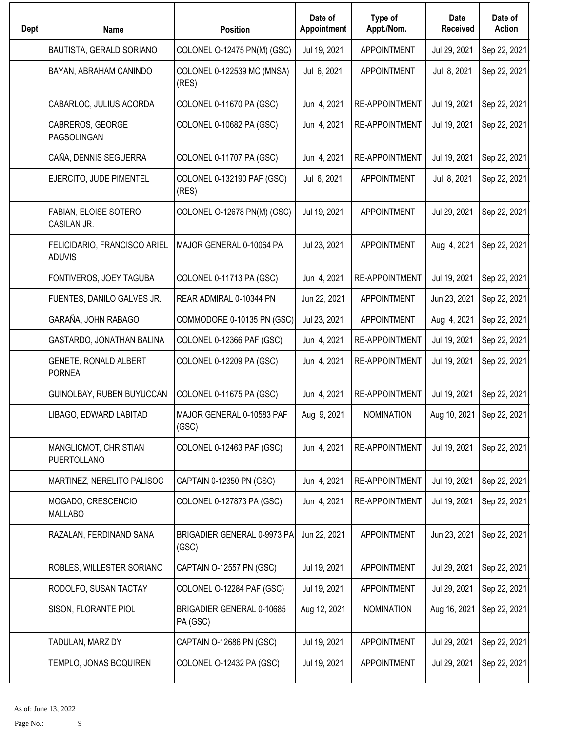| Dept | <b>Name</b>                                   | <b>Position</b>                       | Date of<br>Appointment | Type of<br>Appt./Nom. | <b>Date</b><br><b>Received</b> | Date of<br><b>Action</b>    |
|------|-----------------------------------------------|---------------------------------------|------------------------|-----------------------|--------------------------------|-----------------------------|
|      | BAUTISTA, GERALD SORIANO                      | COLONEL O-12475 PN(M) (GSC)           | Jul 19, 2021           | <b>APPOINTMENT</b>    | Jul 29, 2021                   | Sep 22, 2021                |
|      | BAYAN, ABRAHAM CANINDO                        | COLONEL 0-122539 MC (MNSA)<br>(RES)   | Jul 6, 2021            | <b>APPOINTMENT</b>    | Jul 8, 2021                    | Sep 22, 2021                |
|      | CABARLOC, JULIUS ACORDA                       | COLONEL 0-11670 PA (GSC)              | Jun 4, 2021            | <b>RE-APPOINTMENT</b> | Jul 19, 2021                   | Sep 22, 2021                |
|      | CABREROS, GEORGE<br>PAGSOLINGAN               | COLONEL 0-10682 PA (GSC)              | Jun 4, 2021            | RE-APPOINTMENT        | Jul 19, 2021                   | Sep 22, 2021                |
|      | CAÑA, DENNIS SEGUERRA                         | COLONEL 0-11707 PA (GSC)              | Jun 4, 2021            | RE-APPOINTMENT        | Jul 19, 2021                   | Sep 22, 2021                |
|      | EJERCITO, JUDE PIMENTEL                       | COLONEL 0-132190 PAF (GSC)<br>(RES)   | Jul 6, 2021            | <b>APPOINTMENT</b>    | Jul 8, 2021                    | Sep 22, 2021                |
|      | FABIAN, ELOISE SOTERO<br>CASILAN JR.          | COLONEL O-12678 PN(M) (GSC)           | Jul 19, 2021           | <b>APPOINTMENT</b>    | Jul 29, 2021                   | Sep 22, 2021                |
|      | FELICIDARIO, FRANCISCO ARIEL<br><b>ADUVIS</b> | MAJOR GENERAL 0-10064 PA              | Jul 23, 2021           | <b>APPOINTMENT</b>    | Aug 4, 2021                    | Sep 22, 2021                |
|      | FONTIVEROS, JOEY TAGUBA                       | COLONEL 0-11713 PA (GSC)              | Jun 4, 2021            | <b>RE-APPOINTMENT</b> | Jul 19, 2021                   | Sep 22, 2021                |
|      | FUENTES, DANILO GALVES JR.                    | REAR ADMIRAL 0-10344 PN               | Jun 22, 2021           | <b>APPOINTMENT</b>    | Jun 23, 2021                   | Sep 22, 2021                |
|      | GARAÑA, JOHN RABAGO                           | COMMODORE 0-10135 PN (GSC)            | Jul 23, 2021           | <b>APPOINTMENT</b>    | Aug 4, 2021                    | Sep 22, 2021                |
|      | GASTARDO, JONATHAN BALINA                     | COLONEL 0-12366 PAF (GSC)             | Jun 4, 2021            | <b>RE-APPOINTMENT</b> | Jul 19, 2021                   | Sep 22, 2021                |
|      | GENETE, RONALD ALBERT<br><b>PORNEA</b>        | COLONEL 0-12209 PA (GSC)              | Jun 4, 2021            | <b>RE-APPOINTMENT</b> | Jul 19, 2021                   | Sep 22, 2021                |
|      | GUINOLBAY, RUBEN BUYUCCAN                     | COLONEL 0-11675 PA (GSC)              | Jun 4, 2021            | <b>RE-APPOINTMENT</b> | Jul 19, 2021                   | Sep 22, 2021                |
|      | LIBAGO, EDWARD LABITAD                        | MAJOR GENERAL 0-10583 PAF<br>(GSC)    | Aug 9, 2021            | <b>NOMINATION</b>     |                                | Aug 10, 2021   Sep 22, 2021 |
|      | MANGLICMOT, CHRISTIAN<br>PUERTOLLANO          | COLONEL 0-12463 PAF (GSC)             | Jun 4, 2021            | RE-APPOINTMENT        | Jul 19, 2021                   | Sep 22, 2021                |
|      | MARTINEZ, NERELITO PALISOC                    | CAPTAIN 0-12350 PN (GSC)              | Jun 4, 2021            | RE-APPOINTMENT        | Jul 19, 2021                   | Sep 22, 2021                |
|      | MOGADO, CRESCENCIO<br><b>MALLABO</b>          | COLONEL 0-127873 PA (GSC)             | Jun 4, 2021            | RE-APPOINTMENT        | Jul 19, 2021                   | Sep 22, 2021                |
|      | RAZALAN, FERDINAND SANA                       | BRIGADIER GENERAL 0-9973 PA<br>(GSC)  | Jun 22, 2021           | <b>APPOINTMENT</b>    | Jun 23, 2021                   | Sep 22, 2021                |
|      | ROBLES, WILLESTER SORIANO                     | CAPTAIN O-12557 PN (GSC)              | Jul 19, 2021           | <b>APPOINTMENT</b>    | Jul 29, 2021                   | Sep 22, 2021                |
|      | RODOLFO, SUSAN TACTAY                         | COLONEL O-12284 PAF (GSC)             | Jul 19, 2021           | <b>APPOINTMENT</b>    | Jul 29, 2021                   | Sep 22, 2021                |
|      | SISON, FLORANTE PIOL                          | BRIGADIER GENERAL 0-10685<br>PA (GSC) | Aug 12, 2021           | <b>NOMINATION</b>     | Aug 16, 2021                   | Sep 22, 2021                |
|      | TADULAN, MARZ DY                              | CAPTAIN O-12686 PN (GSC)              | Jul 19, 2021           | <b>APPOINTMENT</b>    | Jul 29, 2021                   | Sep 22, 2021                |
|      | TEMPLO, JONAS BOQUIREN                        | COLONEL O-12432 PA (GSC)              | Jul 19, 2021           | <b>APPOINTMENT</b>    | Jul 29, 2021                   | Sep 22, 2021                |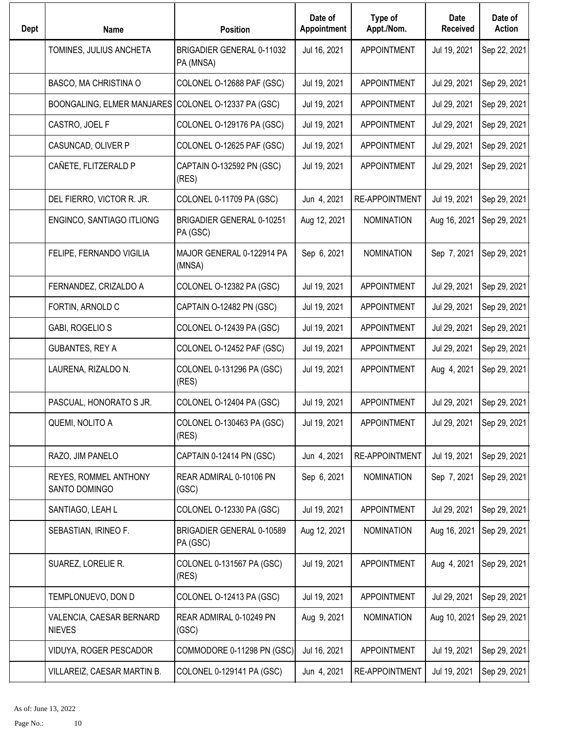| Dept | <b>Name</b>                                         | <b>Position</b>                              | Date of<br>Appointment | Type of<br>Appt./Nom. | Date<br><b>Received</b> | Date of<br><b>Action</b> |
|------|-----------------------------------------------------|----------------------------------------------|------------------------|-----------------------|-------------------------|--------------------------|
|      | TOMINES, JULIUS ANCHETA                             | BRIGADIER GENERAL 0-11032<br>PA (MNSA)       | Jul 16, 2021           | <b>APPOINTMENT</b>    | Jul 19, 2021            | Sep 22, 2021             |
|      | BASCO, MA CHRISTINA O                               | COLONEL O-12688 PAF (GSC)                    | Jul 19, 2021           | <b>APPOINTMENT</b>    | Jul 29, 2021            | Sep 29, 2021             |
|      | BOONGALING, ELMER MANJARES COLONEL O-12337 PA (GSC) |                                              | Jul 19, 2021           | <b>APPOINTMENT</b>    | Jul 29, 2021            | Sep 29, 2021             |
|      | CASTRO, JOEL F                                      | COLONEL O-129176 PA (GSC)                    | Jul 19, 2021           | <b>APPOINTMENT</b>    | Jul 29, 2021            | Sep 29, 2021             |
|      | CASUNCAD, OLIVER P                                  | COLONEL O-12625 PAF (GSC)                    | Jul 19, 2021           | <b>APPOINTMENT</b>    | Jul 29, 2021            | Sep 29, 2021             |
|      | CAÑETE, FLITZERALD P                                | CAPTAIN O-132592 PN (GSC)<br>(RES)           | Jul 19, 2021           | <b>APPOINTMENT</b>    | Jul 29, 2021            | Sep 29, 2021             |
|      | DEL FIERRO, VICTOR R. JR.                           | COLONEL 0-11709 PA (GSC)                     | Jun 4, 2021            | <b>RE-APPOINTMENT</b> | Jul 19, 2021            | Sep 29, 2021             |
|      | ENGINCO, SANTIAGO ITLIONG                           | <b>BRIGADIER GENERAL 0-10251</b><br>PA (GSC) | Aug 12, 2021           | <b>NOMINATION</b>     | Aug 16, 2021            | Sep 29, 2021             |
|      | FELIPE, FERNANDO VIGILIA                            | MAJOR GENERAL 0-122914 PA<br>(MNSA)          | Sep 6, 2021            | <b>NOMINATION</b>     | Sep 7, 2021             | Sep 29, 2021             |
|      | FERNANDEZ, CRIZALDO A                               | COLONEL O-12382 PA (GSC)                     | Jul 19, 2021           | <b>APPOINTMENT</b>    | Jul 29, 2021            | Sep 29, 2021             |
|      | FORTIN, ARNOLD C                                    | CAPTAIN O-12482 PN (GSC)                     | Jul 19, 2021           | <b>APPOINTMENT</b>    | Jul 29, 2021            | Sep 29, 2021             |
|      | GABI, ROGELIO S                                     | COLONEL O-12439 PA (GSC)                     | Jul 19, 2021           | <b>APPOINTMENT</b>    | Jul 29, 2021            | Sep 29, 2021             |
|      | <b>GUBANTES, REY A</b>                              | COLONEL O-12452 PAF (GSC)                    | Jul 19, 2021           | <b>APPOINTMENT</b>    | Jul 29, 2021            | Sep 29, 2021             |
|      | LAURENA, RIZALDO N.                                 | COLONEL 0-131296 PA (GSC)<br>(RES)           | Jul 19, 2021           | <b>APPOINTMENT</b>    | Aug 4, 2021             | Sep 29, 2021             |
|      | PASCUAL, HONORATO S JR.                             | COLONEL O-12404 PA (GSC)                     | Jul 19, 2021           | <b>APPOINTMENT</b>    | Jul 29, 2021            | Sep 29, 2021             |
|      | QUEMI, NOLITO A                                     | COLONEL O-130463 PA (GSC)<br>(RES)           | Jul 19, 2021           | <b>APPOINTMENT</b>    | Jul 29, 2021            | Sep 29, 2021             |
|      | RAZO, JIM PANELO                                    | CAPTAIN 0-12414 PN (GSC)                     | Jun 4, 2021            | RE-APPOINTMENT        | Jul 19, 2021            | Sep 29, 2021             |
|      | REYES, ROMMEL ANTHONY<br>SANTO DOMINGO              | REAR ADMIRAL 0-10106 PN<br>(GSC)             | Sep 6, 2021            | NOMINATION            | Sep 7, 2021             | Sep 29, 2021             |
|      | SANTIAGO, LEAH L                                    | COLONEL O-12330 PA (GSC)                     | Jul 19, 2021           | <b>APPOINTMENT</b>    | Jul 29, 2021            | Sep 29, 2021             |
|      | SEBASTIAN, IRINEO F.                                | BRIGADIER GENERAL 0-10589<br>PA (GSC)        | Aug 12, 2021           | <b>NOMINATION</b>     | Aug 16, 2021            | Sep 29, 2021             |
|      | SUAREZ, LORELIE R.                                  | COLONEL 0-131567 PA (GSC)<br>(RES)           | Jul 19, 2021           | <b>APPOINTMENT</b>    | Aug 4, 2021             | Sep 29, 2021             |
|      | TEMPLONUEVO, DON D                                  | COLONEL O-12413 PA (GSC)                     | Jul 19, 2021           | <b>APPOINTMENT</b>    | Jul 29, 2021            | Sep 29, 2021             |
|      | VALENCIA, CAESAR BERNARD<br><b>NIEVES</b>           | REAR ADMIRAL 0-10249 PN<br>(GSC)             | Aug 9, 2021            | <b>NOMINATION</b>     | Aug 10, 2021            | Sep 29, 2021             |
|      | VIDUYA, ROGER PESCADOR                              | COMMODORE 0-11298 PN (GSC)                   | Jul 16, 2021           | <b>APPOINTMENT</b>    | Jul 19, 2021            | Sep 29, 2021             |
|      | VILLAREIZ, CAESAR MARTIN B.                         | COLONEL 0-129141 PA (GSC)                    | Jun 4, 2021            | <b>RE-APPOINTMENT</b> | Jul 19, 2021            | Sep 29, 2021             |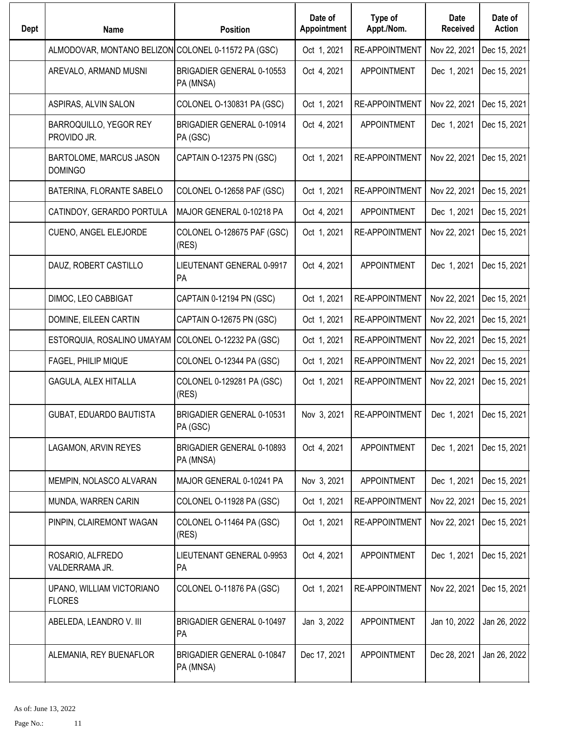| <b>Dept</b> | <b>Name</b>                                         | <b>Position</b>                        | Date of<br>Appointment | Type of<br>Appt./Nom. | Date<br><b>Received</b> | Date of<br><b>Action</b> |
|-------------|-----------------------------------------------------|----------------------------------------|------------------------|-----------------------|-------------------------|--------------------------|
|             | ALMODOVAR, MONTANO BELIZON COLONEL 0-11572 PA (GSC) |                                        | Oct 1, 2021            | <b>RE-APPOINTMENT</b> | Nov 22, 2021            | Dec 15, 2021             |
|             | AREVALO, ARMAND MUSNI                               | BRIGADIER GENERAL 0-10553<br>PA (MNSA) | Oct 4, 2021            | <b>APPOINTMENT</b>    | Dec 1, 2021             | Dec 15, 2021             |
|             | ASPIRAS, ALVIN SALON                                | COLONEL O-130831 PA (GSC)              | Oct 1, 2021            | <b>RE-APPOINTMENT</b> | Nov 22, 2021            | Dec 15, 2021             |
|             | BARROQUILLO, YEGOR REY<br>PROVIDO JR.               | BRIGADIER GENERAL 0-10914<br>PA (GSC)  | Oct 4, 2021            | <b>APPOINTMENT</b>    | Dec 1, 2021             | Dec 15, 2021             |
|             | BARTOLOME, MARCUS JASON<br><b>DOMINGO</b>           | CAPTAIN O-12375 PN (GSC)               | Oct 1, 2021            | RE-APPOINTMENT        | Nov 22, 2021            | Dec 15, 2021             |
|             | BATERINA, FLORANTE SABELO                           | COLONEL O-12658 PAF (GSC)              | Oct 1, 2021            | RE-APPOINTMENT        | Nov 22, 2021            | Dec 15, 2021             |
|             | CATINDOY, GERARDO PORTULA                           | MAJOR GENERAL 0-10218 PA               | Oct 4, 2021            | <b>APPOINTMENT</b>    | Dec 1, 2021             | Dec 15, 2021             |
|             | CUENO, ANGEL ELEJORDE                               | COLONEL O-128675 PAF (GSC)<br>(RES)    | Oct 1, 2021            | <b>RE-APPOINTMENT</b> | Nov 22, 2021            | Dec 15, 2021             |
|             | DAUZ, ROBERT CASTILLO                               | LIEUTENANT GENERAL 0-9917<br>PA        | Oct 4, 2021            | <b>APPOINTMENT</b>    | Dec 1, 2021             | Dec 15, 2021             |
|             | DIMOC, LEO CABBIGAT                                 | CAPTAIN 0-12194 PN (GSC)               | Oct 1, 2021            | <b>RE-APPOINTMENT</b> | Nov 22, 2021            | Dec 15, 2021             |
|             | DOMINE, EILEEN CARTIN                               | CAPTAIN O-12675 PN (GSC)               | Oct 1, 2021            | RE-APPOINTMENT        | Nov 22, 2021            | Dec 15, 2021             |
|             | ESTORQUIA, ROSALINO UMAYAM                          | COLONEL O-12232 PA (GSC)               | Oct 1, 2021            | <b>RE-APPOINTMENT</b> | Nov 22, 2021            | Dec 15, 2021             |
|             | FAGEL, PHILIP MIQUE                                 | COLONEL O-12344 PA (GSC)               | Oct 1, 2021            | <b>RE-APPOINTMENT</b> | Nov 22, 2021            | Dec 15, 2021             |
|             | GAGULA, ALEX HITALLA                                | COLONEL 0-129281 PA (GSC)<br>(RES)     | Oct 1, 2021            | <b>RE-APPOINTMENT</b> | Nov 22, 2021            | Dec 15, 2021             |
|             | GUBAT, EDUARDO BAUTISTA                             | BRIGADIER GENERAL 0-10531<br>PA (GSC)  | Nov 3, 2021            | RE-APPOINTMENT        | Dec 1, 2021             | Dec 15, 2021             |
|             | LAGAMON, ARVIN REYES                                | BRIGADIER GENERAL 0-10893<br>PA (MNSA) | Oct 4, 2021            | <b>APPOINTMENT</b>    | Dec 1, 2021             | Dec 15, 2021             |
|             | MEMPIN, NOLASCO ALVARAN                             | MAJOR GENERAL 0-10241 PA               | Nov 3, 2021            | <b>APPOINTMENT</b>    | Dec 1, 2021             | Dec 15, 2021             |
|             | MUNDA, WARREN CARIN                                 | COLONEL O-11928 PA (GSC)               | Oct 1, 2021            | RE-APPOINTMENT        | Nov 22, 2021            | Dec 15, 2021             |
|             | PINPIN, CLAIREMONT WAGAN                            | COLONEL O-11464 PA (GSC)<br>(RES)      | Oct 1, 2021            | RE-APPOINTMENT        | Nov 22, 2021            | Dec 15, 2021             |
|             | ROSARIO, ALFREDO<br>VALDERRAMA JR.                  | LIEUTENANT GENERAL 0-9953<br>PA        | Oct 4, 2021            | <b>APPOINTMENT</b>    | Dec 1, 2021             | Dec 15, 2021             |
|             | UPANO, WILLIAM VICTORIANO<br><b>FLORES</b>          | COLONEL O-11876 PA (GSC)               | Oct 1, 2021            | RE-APPOINTMENT        | Nov 22, 2021            | Dec 15, 2021             |
|             | ABELEDA, LEANDRO V. III                             | BRIGADIER GENERAL 0-10497<br>PA        | Jan 3, 2022            | <b>APPOINTMENT</b>    | Jan 10, 2022            | Jan 26, 2022             |
|             | ALEMANIA, REY BUENAFLOR                             | BRIGADIER GENERAL 0-10847<br>PA (MNSA) | Dec 17, 2021           | <b>APPOINTMENT</b>    | Dec 28, 2021            | Jan 26, 2022             |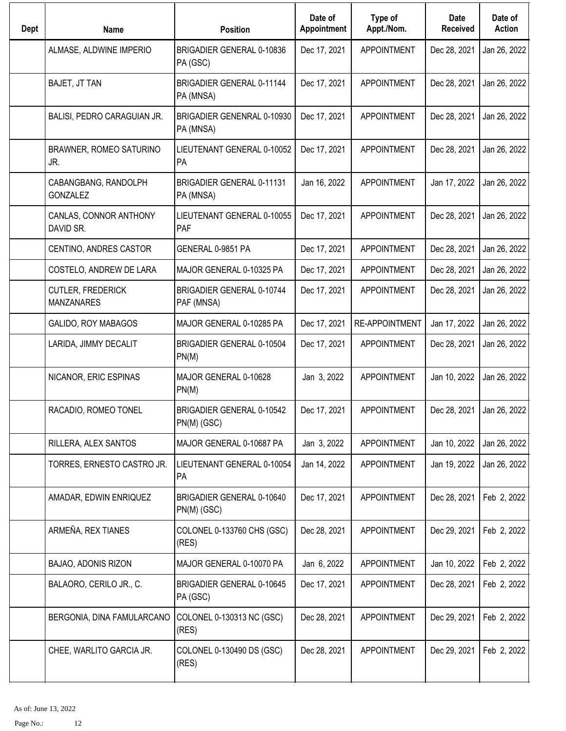| <b>Dept</b> | <b>Name</b>                                   | <b>Position</b>                                | Date of<br>Appointment | Type of<br>Appt./Nom. | Date<br><b>Received</b> | Date of<br><b>Action</b> |
|-------------|-----------------------------------------------|------------------------------------------------|------------------------|-----------------------|-------------------------|--------------------------|
|             | ALMASE, ALDWINE IMPERIO                       | BRIGADIER GENERAL 0-10836<br>PA (GSC)          | Dec 17, 2021           | <b>APPOINTMENT</b>    | Dec 28, 2021            | Jan 26, 2022             |
|             | BAJET, JT TAN                                 | BRIGADIER GENERAL 0-11144<br>PA (MNSA)         | Dec 17, 2021           | <b>APPOINTMENT</b>    | Dec 28, 2021            | Jan 26, 2022             |
|             | BALISI, PEDRO CARAGUIAN JR.                   | BRIGADIER GENENRAL 0-10930<br>PA (MNSA)        | Dec 17, 2021           | <b>APPOINTMENT</b>    | Dec 28, 2021            | Jan 26, 2022             |
|             | BRAWNER, ROMEO SATURINO<br>JR.                | LIEUTENANT GENERAL 0-10052<br>PA               | Dec 17, 2021           | <b>APPOINTMENT</b>    | Dec 28, 2021            | Jan 26, 2022             |
|             | CABANGBANG, RANDOLPH<br><b>GONZALEZ</b>       | <b>BRIGADIER GENERAL 0-11131</b><br>PA (MNSA)  | Jan 16, 2022           | <b>APPOINTMENT</b>    | Jan 17, 2022            | Jan 26, 2022             |
|             | CANLAS, CONNOR ANTHONY<br>DAVID SR.           | LIEUTENANT GENERAL 0-10055<br>PAF              | Dec 17, 2021           | <b>APPOINTMENT</b>    | Dec 28, 2021            | Jan 26, 2022             |
|             | CENTINO, ANDRES CASTOR                        | GENERAL 0-9851 PA                              | Dec 17, 2021           | <b>APPOINTMENT</b>    | Dec 28, 2021            | Jan 26, 2022             |
|             | COSTELO, ANDREW DE LARA                       | MAJOR GENERAL 0-10325 PA                       | Dec 17, 2021           | <b>APPOINTMENT</b>    | Dec 28, 2021            | Jan 26, 2022             |
|             | <b>CUTLER, FREDERICK</b><br><b>MANZANARES</b> | <b>BRIGADIER GENERAL 0-10744</b><br>PAF (MNSA) | Dec 17, 2021           | <b>APPOINTMENT</b>    | Dec 28, 2021            | Jan 26, 2022             |
|             | GALIDO, ROY MABAGOS                           | MAJOR GENERAL 0-10285 PA                       | Dec 17, 2021           | <b>RE-APPOINTMENT</b> | Jan 17, 2022            | Jan 26, 2022             |
|             | LARIDA, JIMMY DECALIT                         | BRIGADIER GENERAL 0-10504<br>PN(M)             | Dec 17, 2021           | <b>APPOINTMENT</b>    | Dec 28, 2021            | Jan 26, 2022             |
|             | NICANOR, ERIC ESPINAS                         | MAJOR GENERAL 0-10628<br>PN(M)                 | Jan 3, 2022            | <b>APPOINTMENT</b>    | Jan 10, 2022            | Jan 26, 2022             |
|             | RACADIO, ROMEO TONEL                          | BRIGADIER GENERAL 0-10542<br>PN(M) (GSC)       | Dec 17, 2021           | <b>APPOINTMENT</b>    | Dec 28, 2021            | Jan 26, 2022             |
|             | RILLERA, ALEX SANTOS                          | MAJOR GENERAL 0-10687 PA                       | Jan 3, 2022            | <b>APPOINTMENT</b>    | Jan 10, 2022            | Jan 26, 2022             |
|             | TORRES, ERNESTO CASTRO JR.                    | LIEUTENANT GENERAL 0-10054<br>PA               | Jan 14, 2022           | <b>APPOINTMENT</b>    | Jan 19, 2022            | Jan 26, 2022             |
|             | AMADAR, EDWIN ENRIQUEZ                        | BRIGADIER GENERAL 0-10640<br>$PN(M)$ (GSC)     | Dec 17, 2021           | <b>APPOINTMENT</b>    | Dec 28, 2021            | Feb 2, 2022              |
|             | ARMEÑA, REX TIANES                            | COLONEL 0-133760 CHS (GSC)<br>(RES)            | Dec 28, 2021           | <b>APPOINTMENT</b>    | Dec 29, 2021            | Feb 2, 2022              |
|             | BAJAO, ADONIS RIZON                           | MAJOR GENERAL 0-10070 PA                       | Jan 6, 2022            | <b>APPOINTMENT</b>    | Jan 10, 2022            | Feb 2, 2022              |
|             | BALAORO, CERILO JR., C.                       | BRIGADIER GENERAL 0-10645<br>PA (GSC)          | Dec 17, 2021           | <b>APPOINTMENT</b>    | Dec 28, 2021            | Feb 2, 2022              |
|             | BERGONIA, DINA FAMULARCANO                    | COLONEL 0-130313 NC (GSC)<br>(RES)             | Dec 28, 2021           | <b>APPOINTMENT</b>    | Dec 29, 2021            | Feb 2, 2022              |
|             | CHEE, WARLITO GARCIA JR.                      | COLONEL 0-130490 DS (GSC)<br>(RES)             | Dec 28, 2021           | <b>APPOINTMENT</b>    | Dec 29, 2021            | Feb 2, 2022              |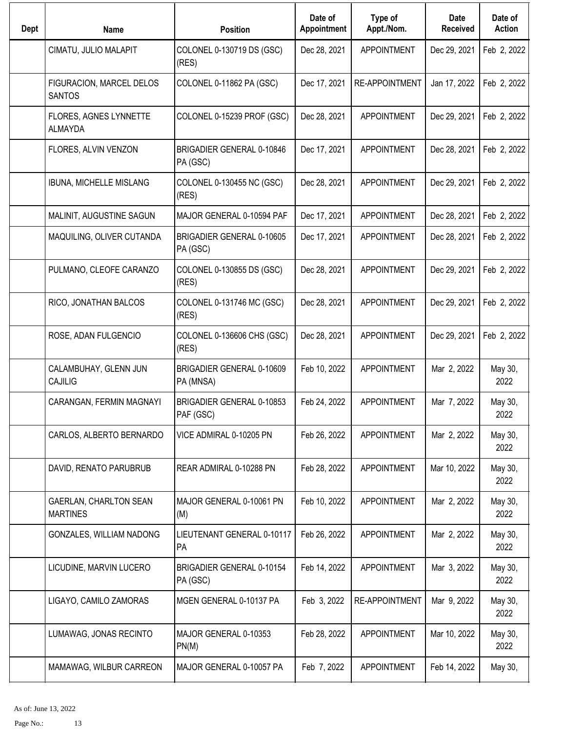| <b>Dept</b> | Name                                      | <b>Position</b>                              | Date of<br>Appointment | Type of<br>Appt./Nom. | Date<br><b>Received</b> | Date of<br><b>Action</b> |
|-------------|-------------------------------------------|----------------------------------------------|------------------------|-----------------------|-------------------------|--------------------------|
|             | CIMATU, JULIO MALAPIT                     | COLONEL 0-130719 DS (GSC)<br>(RES)           | Dec 28, 2021           | <b>APPOINTMENT</b>    | Dec 29, 2021            | Feb 2, 2022              |
|             | FIGURACION, MARCEL DELOS<br><b>SANTOS</b> | COLONEL 0-11862 PA (GSC)                     | Dec 17, 2021           | <b>RE-APPOINTMENT</b> | Jan 17, 2022            | Feb 2, 2022              |
|             | FLORES, AGNES LYNNETTE<br><b>ALMAYDA</b>  | COLONEL 0-15239 PROF (GSC)                   | Dec 28, 2021           | <b>APPOINTMENT</b>    | Dec 29, 2021            | Feb 2, 2022              |
|             | FLORES, ALVIN VENZON                      | <b>BRIGADIER GENERAL 0-10846</b><br>PA (GSC) | Dec 17, 2021           | <b>APPOINTMENT</b>    | Dec 28, 2021            | Feb 2, 2022              |
|             | IBUNA, MICHELLE MISLANG                   | COLONEL 0-130455 NC (GSC)<br>(RES)           | Dec 28, 2021           | <b>APPOINTMENT</b>    | Dec 29, 2021            | Feb 2, 2022              |
|             | MALINIT, AUGUSTINE SAGUN                  | MAJOR GENERAL 0-10594 PAF                    | Dec 17, 2021           | <b>APPOINTMENT</b>    | Dec 28, 2021            | Feb 2, 2022              |
|             | MAQUILING, OLIVER CUTANDA                 | <b>BRIGADIER GENERAL 0-10605</b><br>PA (GSC) | Dec 17, 2021           | <b>APPOINTMENT</b>    | Dec 28, 2021            | Feb 2, 2022              |
|             | PULMANO, CLEOFE CARANZO                   | COLONEL 0-130855 DS (GSC)<br>(RES)           | Dec 28, 2021           | <b>APPOINTMENT</b>    | Dec 29, 2021            | Feb 2, 2022              |
|             | RICO, JONATHAN BALCOS                     | COLONEL 0-131746 MC (GSC)<br>(RES)           | Dec 28, 2021           | <b>APPOINTMENT</b>    | Dec 29, 2021            | Feb 2, 2022              |
|             | ROSE, ADAN FULGENCIO                      | COLONEL 0-136606 CHS (GSC)<br>(RES)          | Dec 28, 2021           | <b>APPOINTMENT</b>    | Dec 29, 2021            | Feb 2, 2022              |
|             | CALAMBUHAY, GLENN JUN<br>CAJILIG          | BRIGADIER GENERAL 0-10609<br>PA (MNSA)       | Feb 10, 2022           | <b>APPOINTMENT</b>    | Mar 2, 2022             | May 30,<br>2022          |
|             | CARANGAN, FERMIN MAGNAYI                  | BRIGADIER GENERAL 0-10853<br>PAF (GSC)       | Feb 24, 2022           | <b>APPOINTMENT</b>    | Mar 7, 2022             | May 30,<br>2022          |
|             | CARLOS, ALBERTO BERNARDO                  | VICE ADMIRAL 0-10205 PN                      | Feb 26, 2022           | <b>APPOINTMENT</b>    | Mar 2, 2022             | May 30,<br>2022          |
|             | DAVID, RENATO PARUBRUB                    | REAR ADMIRAL 0-10288 PN                      | Feb 28, 2022           | <b>APPOINTMENT</b>    | Mar 10, 2022            | May 30,<br>2022          |
|             | GAERLAN, CHARLTON SEAN<br><b>MARTINES</b> | MAJOR GENERAL 0-10061 PN<br>(M)              | Feb 10, 2022           | <b>APPOINTMENT</b>    | Mar 2, 2022             | May 30,<br>2022          |
|             | GONZALES, WILLIAM NADONG                  | LIEUTENANT GENERAL 0-10117<br>PA             | Feb 26, 2022           | <b>APPOINTMENT</b>    | Mar 2, 2022             | May 30,<br>2022          |
|             | LICUDINE, MARVIN LUCERO                   | BRIGADIER GENERAL 0-10154<br>PA (GSC)        | Feb 14, 2022           | <b>APPOINTMENT</b>    | Mar 3, 2022             | May 30,<br>2022          |
|             | LIGAYO, CAMILO ZAMORAS                    | MGEN GENERAL 0-10137 PA                      | Feb 3, 2022            | RE-APPOINTMENT        | Mar 9, 2022             | May 30,<br>2022          |
|             | LUMAWAG, JONAS RECINTO                    | MAJOR GENERAL 0-10353<br>PN(M)               | Feb 28, 2022           | <b>APPOINTMENT</b>    | Mar 10, 2022            | May 30,<br>2022          |
|             | MAMAWAG, WILBUR CARREON                   | MAJOR GENERAL 0-10057 PA                     | Feb 7, 2022            | <b>APPOINTMENT</b>    | Feb 14, 2022            | May 30,                  |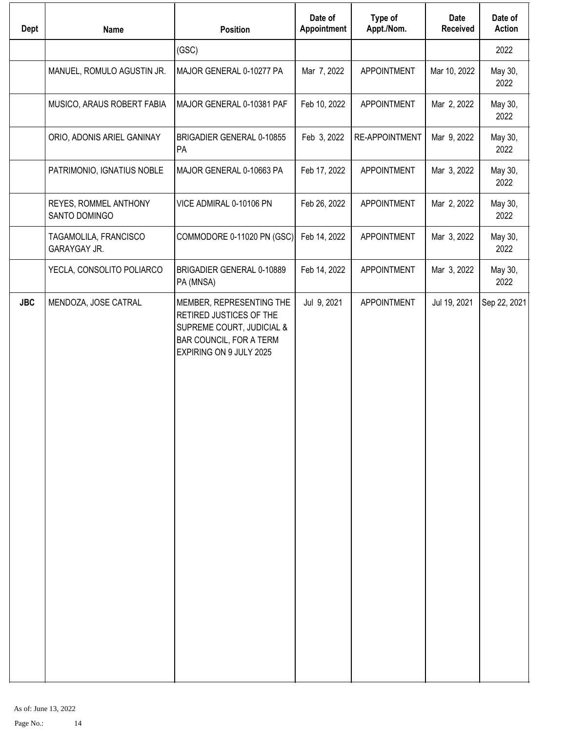| Dept       | <b>Name</b>                            | <b>Position</b>                                                                                                                        | Date of<br>Appointment | Type of<br>Appt./Nom. | Date<br><b>Received</b> | Date of<br><b>Action</b> |
|------------|----------------------------------------|----------------------------------------------------------------------------------------------------------------------------------------|------------------------|-----------------------|-------------------------|--------------------------|
|            |                                        | (GSC)                                                                                                                                  |                        |                       |                         | 2022                     |
|            | MANUEL, ROMULO AGUSTIN JR.             | MAJOR GENERAL 0-10277 PA                                                                                                               | Mar 7, 2022            | APPOINTMENT           | Mar 10, 2022            | May 30,<br>2022          |
|            | MUSICO, ARAUS ROBERT FABIA             | MAJOR GENERAL 0-10381 PAF                                                                                                              | Feb 10, 2022           | APPOINTMENT           | Mar 2, 2022             | May 30,<br>2022          |
|            | ORIO, ADONIS ARIEL GANINAY             | BRIGADIER GENERAL 0-10855<br>PA                                                                                                        | Feb 3, 2022            | RE-APPOINTMENT        | Mar 9, 2022             | May 30,<br>2022          |
|            | PATRIMONIO, IGNATIUS NOBLE             | MAJOR GENERAL 0-10663 PA                                                                                                               | Feb 17, 2022           | <b>APPOINTMENT</b>    | Mar 3, 2022             | May 30,<br>2022          |
|            | REYES, ROMMEL ANTHONY<br>SANTO DOMINGO | VICE ADMIRAL 0-10106 PN                                                                                                                | Feb 26, 2022           | <b>APPOINTMENT</b>    | Mar 2, 2022             | May 30,<br>2022          |
|            | TAGAMOLILA, FRANCISCO<br>GARAYGAY JR.  | COMMODORE 0-11020 PN (GSC)                                                                                                             | Feb 14, 2022           | <b>APPOINTMENT</b>    | Mar 3, 2022             | May 30,<br>2022          |
|            | YECLA, CONSOLITO POLIARCO              | BRIGADIER GENERAL 0-10889<br>PA (MNSA)                                                                                                 | Feb 14, 2022           | APPOINTMENT           | Mar 3, 2022             | May 30,<br>2022          |
| <b>JBC</b> | MENDOZA, JOSE CATRAL                   | MEMBER, REPRESENTING THE<br>RETIRED JUSTICES OF THE<br>SUPREME COURT, JUDICIAL &<br>BAR COUNCIL, FOR A TERM<br>EXPIRING ON 9 JULY 2025 | Jul 9, 2021            | <b>APPOINTMENT</b>    | Jul 19, 2021            | Sep 22, 2021             |